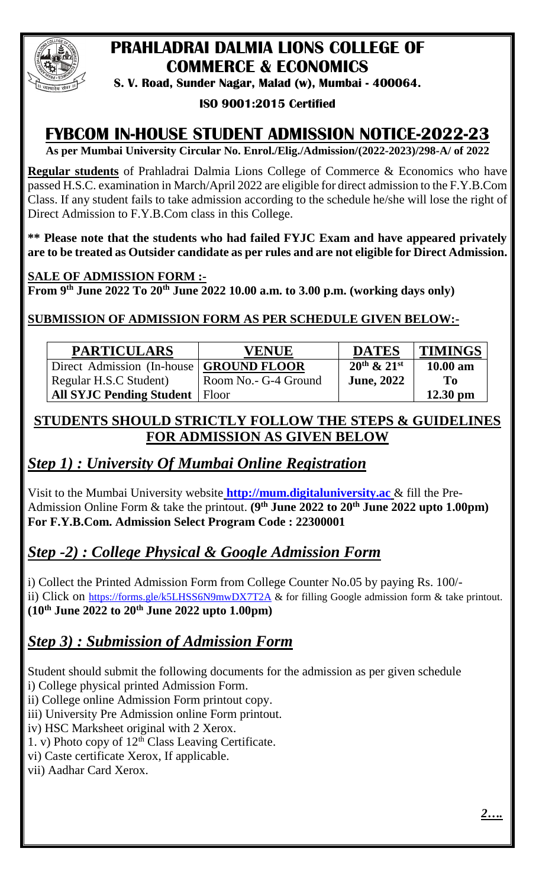

# **PRAHLADRAI DALMIA LIONS COLLEGE OF COMMERCE & ECONOMICS**

**S. V. Road, Sunder Nagar, Malad (w), Mumbai - 400064.**

#### **ISO 9001:2015 Certified**

## **FYBCOM IN-HOUSE STUDENT ADMISSION NOTICE-2022-23**

**As per Mumbai University Circular No. Enrol./Elig./Admission/(2022-2023)/298-A/ of 2022**

**Regular students** of Prahladrai Dalmia Lions College of Commerce & Economics who have passed H.S.C. examination in March/April 2022 are eligible for direct admission to the F.Y.B.Com Class. If any student fails to take admission according to the schedule he/she will lose the right of Direct Admission to F.Y.B.Com class in this College.

**\*\* Please note that the students who had failed FYJC Exam and have appeared privately are to be treated as Outsider candidate as per rules and are not eligible for Direct Admission.**

#### **SALE OF ADMISSION FORM :-**

**From 9 th June 2022 To 20th June 2022 10.00 a.m. to 3.00 p.m. (working days only)**

#### **SUBMISSION OF ADMISSION FORM AS PER SCHEDULE GIVEN BELOW:-**

| <b>PARTICULARS</b>              | <b>VENUE</b>          | <b>DATES</b>          | <b>TIMINGS</b> |
|---------------------------------|-----------------------|-----------------------|----------------|
| Direct Admission (In-house)     | <b>GROUND FLOOR</b>   | $20^{th}$ & $21^{st}$ | $10.00$ am     |
| Regular H.S.C Student           | Room No. - G-4 Ground | <b>June, 2022</b>     | T <sub>0</sub> |
| <b>All SYJC Pending Student</b> | Floor                 |                       | $12.30$ pm     |

### **STUDENTS SHOULD STRICTLY FOLLOW THE STEPS & GUIDELINES FOR ADMISSION AS GIVEN BELOW**

### *Step 1) : University Of Mumbai Online Registration*

Visit to the Mumbai University website **[http://mum.digitaluniversity.ac](http://mum.digitaluniversity.ac/)** & fill the Pre-Admission Online Form & take the printout. **(9 th June 2022 to 20th June 2022 upto 1.00pm) For F.Y.B.Com. Admission Select Program Code : 22300001** 

### *Step -2) : College Physical & Google Admission Form*

i) Collect the Printed Admission Form from College Counter No.05 by paying Rs. 100/ ii) Click on <https://forms.gle/k5LHSS6N9mwDX7T2A> & for filling Google admission form & take printout. **(10th June 2022 to 20th June 2022 upto 1.00pm)**

### *Step 3) : Submission of Admission Form*

Student should submit the following documents for the admission as per given schedule

i) College physical printed Admission Form.

ii) College online Admission Form printout copy.

iii) University Pre Admission online Form printout.

iv) HSC Marksheet original with 2 Xerox.

1. v) Photo copy of  $12<sup>th</sup>$  Class Leaving Certificate.

vi) Caste certificate Xerox, If applicable.

vii) Aadhar Card Xerox.